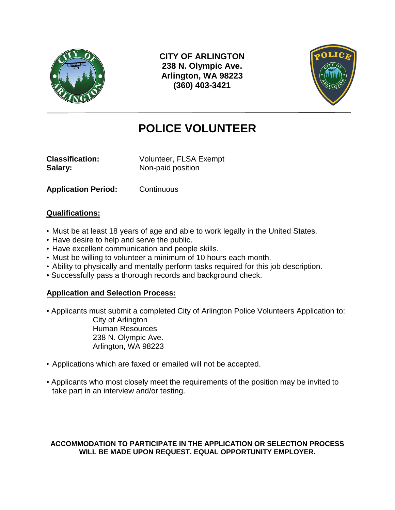

**CITY OF ARLINGTON 238 N. Olympic Ave. Arlington, WA 98223 (360) 403-3421**



# **POLICE VOLUNTEER**

**Classification:** Volunteer, FLSA Exempt **Salary:** Non-paid position

**Application Period:** Continuous

### **Qualifications:**

- Must be at least 18 years of age and able to work legally in the United States.
- Have desire to help and serve the public.
- Have excellent communication and people skills.
- Must be willing to volunteer a minimum of 10 hours each month.
- Ability to physically and mentally perform tasks required for this job description.
- Successfully pass a thorough records and background check.

## **Application and Selection Process:**

- Applicants must submit a completed City of Arlington Police Volunteers Application to: City of Arlington Human Resources 238 N. Olympic Ave. Arlington, WA 98223
- Applications which are faxed or emailed will not be accepted.
- Applicants who most closely meet the requirements of the position may be invited to take part in an interview and/or testing.

#### **ACCOMMODATION TO PARTICIPATE IN THE APPLICATION OR SELECTION PROCESS WILL BE MADE UPON REQUEST. EQUAL OPPORTUNITY EMPLOYER.**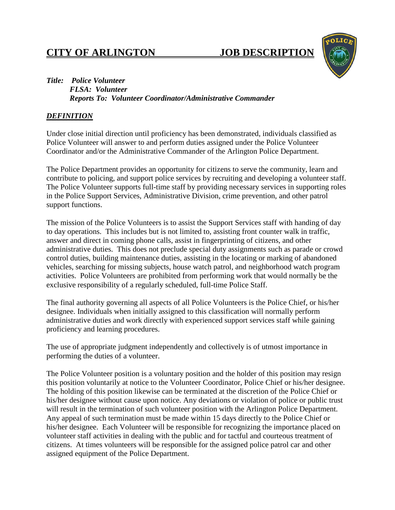# **CITY OF ARLINGTON JOB DESCRIPTION**



#### *Title: Police Volunteer FLSA: Volunteer Reports To: Volunteer Coordinator/Administrative Commander*

#### *DEFINITION*

Under close initial direction until proficiency has been demonstrated, individuals classified as Police Volunteer will answer to and perform duties assigned under the Police Volunteer Coordinator and/or the Administrative Commander of the Arlington Police Department.

The Police Department provides an opportunity for citizens to serve the community, learn and contribute to policing, and support police services by recruiting and developing a volunteer staff. The Police Volunteer supports full-time staff by providing necessary services in supporting roles in the Police Support Services, Administrative Division, crime prevention, and other patrol support functions.

The mission of the Police Volunteers is to assist the Support Services staff with handing of day to day operations. This includes but is not limited to, assisting front counter walk in traffic, answer and direct in coming phone calls, assist in fingerprinting of citizens, and other administrative duties. This does not preclude special duty assignments such as parade or crowd control duties, building maintenance duties, assisting in the locating or marking of abandoned vehicles, searching for missing subjects, house watch patrol, and neighborhood watch program activities. Police Volunteers are prohibited from performing work that would normally be the exclusive responsibility of a regularly scheduled, full-time Police Staff.

The final authority governing all aspects of all Police Volunteers is the Police Chief, or his/her designee. Individuals when initially assigned to this classification will normally perform administrative duties and work directly with experienced support services staff while gaining proficiency and learning procedures.

The use of appropriate judgment independently and collectively is of utmost importance in performing the duties of a volunteer.

The Police Volunteer position is a voluntary position and the holder of this position may resign this position voluntarily at notice to the Volunteer Coordinator, Police Chief or his/her designee. The holding of this position likewise can be terminated at the discretion of the Police Chief or his/her designee without cause upon notice. Any deviations or violation of police or public trust will result in the termination of such volunteer position with the Arlington Police Department. Any appeal of such termination must be made within 15 days directly to the Police Chief or his/her designee. Each Volunteer will be responsible for recognizing the importance placed on volunteer staff activities in dealing with the public and for tactful and courteous treatment of citizens. At times volunteers will be responsible for the assigned police patrol car and other assigned equipment of the Police Department.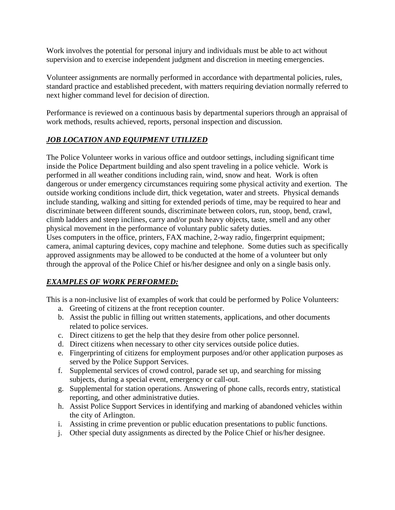Work involves the potential for personal injury and individuals must be able to act without supervision and to exercise independent judgment and discretion in meeting emergencies.

Volunteer assignments are normally performed in accordance with departmental policies, rules, standard practice and established precedent, with matters requiring deviation normally referred to next higher command level for decision of direction.

Performance is reviewed on a continuous basis by departmental superiors through an appraisal of work methods, results achieved, reports, personal inspection and discussion.

# *JOB LOCATION AND EQUIPMENT UTILIZED*

The Police Volunteer works in various office and outdoor settings, including significant time inside the Police Department building and also spent traveling in a police vehicle. Work is performed in all weather conditions including rain, wind, snow and heat. Work is often dangerous or under emergency circumstances requiring some physical activity and exertion. The outside working conditions include dirt, thick vegetation, water and streets. Physical demands include standing, walking and sitting for extended periods of time, may be required to hear and discriminate between different sounds, discriminate between colors, run, stoop, bend, crawl, climb ladders and steep inclines, carry and/or push heavy objects, taste, smell and any other physical movement in the performance of voluntary public safety duties.

Uses computers in the office, printers, FAX machine, 2-way radio, fingerprint equipment; camera, animal capturing devices, copy machine and telephone. Some duties such as specifically approved assignments may be allowed to be conducted at the home of a volunteer but only through the approval of the Police Chief or his/her designee and only on a single basis only.

# *EXAMPLES OF WORK PERFORMED:*

This is a non-inclusive list of examples of work that could be performed by Police Volunteers:

- a. Greeting of citizens at the front reception counter.
- b. Assist the public in filling out written statements, applications, and other documents related to police services.
- c. Direct citizens to get the help that they desire from other police personnel.
- d. Direct citizens when necessary to other city services outside police duties.
- e. Fingerprinting of citizens for employment purposes and/or other application purposes as served by the Police Support Services.
- f. Supplemental services of crowd control, parade set up, and searching for missing subjects, during a special event, emergency or call-out.
- g. Supplemental for station operations. Answering of phone calls, records entry, statistical reporting, and other administrative duties.
- h. Assist Police Support Services in identifying and marking of abandoned vehicles within the city of Arlington.
- i. Assisting in crime prevention or public education presentations to public functions.
- j. Other special duty assignments as directed by the Police Chief or his/her designee.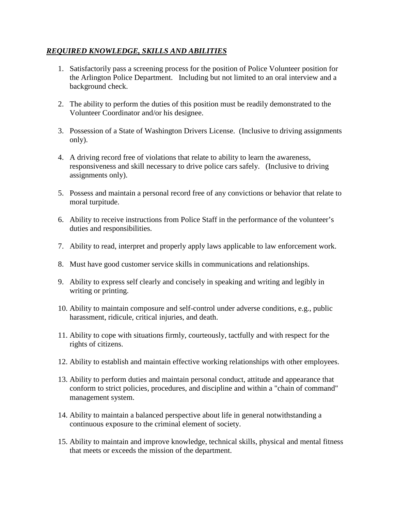### *REQUIRED KNOWLEDGE, SKILLS AND ABILITIES*

- 1. Satisfactorily pass a screening process for the position of Police Volunteer position for the Arlington Police Department. Including but not limited to an oral interview and a background check.
- 2. The ability to perform the duties of this position must be readily demonstrated to the Volunteer Coordinator and/or his designee.
- 3. Possession of a State of Washington Drivers License. (Inclusive to driving assignments only).
- 4. A driving record free of violations that relate to ability to learn the awareness, responsiveness and skill necessary to drive police cars safely. (Inclusive to driving assignments only).
- 5. Possess and maintain a personal record free of any convictions or behavior that relate to moral turpitude.
- 6. Ability to receive instructions from Police Staff in the performance of the volunteer's duties and responsibilities.
- 7. Ability to read, interpret and properly apply laws applicable to law enforcement work.
- 8. Must have good customer service skills in communications and relationships.
- 9. Ability to express self clearly and concisely in speaking and writing and legibly in writing or printing.
- 10. Ability to maintain composure and self-control under adverse conditions, e.g., public harassment, ridicule, critical injuries, and death.
- 11. Ability to cope with situations firmly, courteously, tactfully and with respect for the rights of citizens.
- 12. Ability to establish and maintain effective working relationships with other employees.
- 13. Ability to perform duties and maintain personal conduct, attitude and appearance that conform to strict policies, procedures, and discipline and within a "chain of command" management system.
- 14. Ability to maintain a balanced perspective about life in general notwithstanding a continuous exposure to the criminal element of society.
- 15. Ability to maintain and improve knowledge, technical skills, physical and mental fitness that meets or exceeds the mission of the department.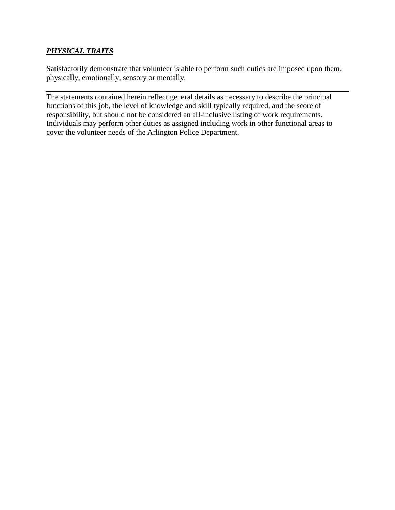## *PHYSICAL TRAITS*

Satisfactorily demonstrate that volunteer is able to perform such duties are imposed upon them, physically, emotionally, sensory or mentally.

The statements contained herein reflect general details as necessary to describe the principal functions of this job, the level of knowledge and skill typically required, and the score of responsibility, but should not be considered an all-inclusive listing of work requirements. Individuals may perform other duties as assigned including work in other functional areas to cover the volunteer needs of the Arlington Police Department.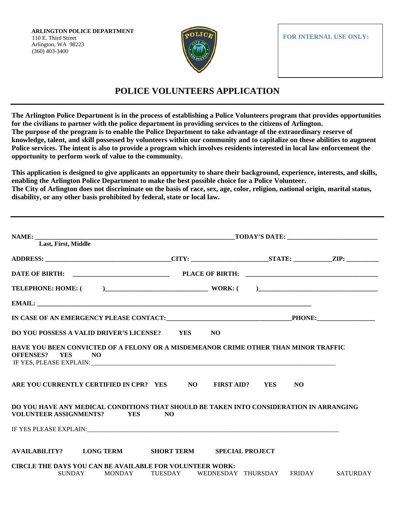**ARLINGTON POLICE DEPARTMENT** 110 E. Third Street Arlington, WA 98223 (360) 403-3400



**FOR INTERNAL USE ONLY:**

# **POLICE VOLUNTEERS APPLICATION**

**The Arlington Police Department is in the process of establishing a Police Volunteers program that provides opportunities for the civilians to partner with the police department in providing services to the citizens of Arlington. The purpose of the program is to enable the Police Department to take advantage of the extraordinary reserve of knowledge, talent, and skill possessed by volunteers within our community and to capitalize on these abilities to augment Police services. The intent is also to provide a program which involves residents interested in local law enforcement the opportunity to perform work of value to the community.** 

**This application is designed to give applicants an opportunity to share their background, experience, interests, and skills, enabling the Arlington Police Department to make the best possible choice for a Police Volunteer. The City of Arlington does not discriminate on the basis of race, sex, age, color, religion, national origin, marital status, disability, or any other basis prohibited by federal, state or local law.** 

| Last, First, Middle                                                                                                                                                                                                                                                                                                                       |  |                |  |                                            |  |  |
|-------------------------------------------------------------------------------------------------------------------------------------------------------------------------------------------------------------------------------------------------------------------------------------------------------------------------------------------|--|----------------|--|--------------------------------------------|--|--|
| ADDRESS: _________________________________CITY: ______________________STATE: _____________ZIP: _______________                                                                                                                                                                                                                            |  |                |  |                                            |  |  |
|                                                                                                                                                                                                                                                                                                                                           |  |                |  |                                            |  |  |
| TELEPHONE: HOME: $($ $)$ $)$ $\qquad$ $)$ $\qquad$ $\qquad$ $\qquad$ $\qquad$ $\qquad$ $\qquad$ $\qquad$ $\qquad$ $\qquad$ $\qquad$ $\qquad$ $\qquad$ $\qquad$ $\qquad$ $\qquad$ $\qquad$ $\qquad$ $\qquad$ $\qquad$ $\qquad$ $\qquad$ $\qquad$ $\qquad$ $\qquad$ $\qquad$ $\qquad$ $\qquad$ $\qquad$ $\qquad$ $\qquad$ $\$               |  |                |  |                                            |  |  |
|                                                                                                                                                                                                                                                                                                                                           |  |                |  |                                            |  |  |
|                                                                                                                                                                                                                                                                                                                                           |  |                |  |                                            |  |  |
| DO YOU POSSESS A VALID DRIVER'S LICENSE? YES NO                                                                                                                                                                                                                                                                                           |  |                |  |                                            |  |  |
| HAVE YOU BEEN CONVICTED OF A FELONY OR A MISDEMEANOR CRIME OTHER THAN MINOR TRAFFIC<br>OFFENSES? YES NO<br>IF YES, PLEASE EXPLAIN: PLEASE AND PLEASE AND THE SERVICE SERVICE SERVICE SERVICE SERVICE SERVICE SERVICE SERVICE SERVICE SERVICE SERVICE SERVICE SERVICE SERVICE SERVICE SERVICE SERVICE SERVICE SERVICE SERVICE SERVICE SERV |  |                |  |                                            |  |  |
| ARE YOU CURRENTLY CERTIFIED IN CPR? YES NO FIRST AID? YES NO                                                                                                                                                                                                                                                                              |  |                |  |                                            |  |  |
| DO YOU HAVE ANY MEDICAL CONDITIONS THAT SHOULD BE TAKEN INTO CONSIDERATION IN ARRANGING<br>VOLUNTEER ASSIGNMENTS? YES                                                                                                                                                                                                                     |  | N <sub>O</sub> |  |                                            |  |  |
|                                                                                                                                                                                                                                                                                                                                           |  |                |  |                                            |  |  |
| AVAILABILITY? LONG TERM SHORT TERM SPECIAL PROJECT                                                                                                                                                                                                                                                                                        |  |                |  |                                            |  |  |
| <b>CIRCLE THE DAYS YOU CAN BE AVAILABLE FOR VOLUNTEER WORK:</b>                                                                                                                                                                                                                                                                           |  |                |  |                                            |  |  |
| SUNDAY MONDAY                                                                                                                                                                                                                                                                                                                             |  |                |  | TUESDAY WEDNESDAY THURSDAY FRIDAY SATURDAY |  |  |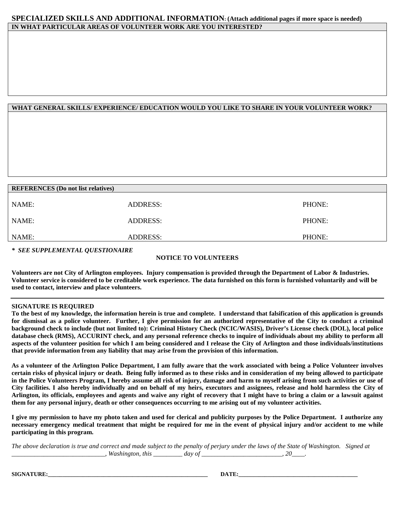#### **SPECIALIZED SKILLS AND ADDITIONAL INFORMATION: (Attach additional pages if more space is needed) IN WHAT PARTICULAR AREAS OF VOLUNTEER WORK ARE YOU INTERESTED?**

#### **WHAT GENERAL SKILLS/ EXPERIENCE/ EDUCATION WOULD YOU LIKE TO SHARE IN YOUR VOLUNTEER WORK?**

| <b>REFERENCES</b> (Do not list relatives) |                 |        |  |  |  |
|-------------------------------------------|-----------------|--------|--|--|--|
|                                           |                 |        |  |  |  |
| NAME:                                     | <b>ADDRESS:</b> | PHONE: |  |  |  |
| NAME:                                     | <b>ADDRESS:</b> | PHONE: |  |  |  |
| NAME:                                     | <b>ADDRESS:</b> | PHONE: |  |  |  |
|                                           |                 |        |  |  |  |

*\* SEE SUPPLEMENTAL QUESTIONAIRE*

#### **NOTICE TO VOLUNTEERS**

**Volunteers are not City of Arlington employees. Injury compensation is provided through the Department of Labor & Industries. Volunteer service is considered to be creditable work experience. The data furnished on this form is furnished voluntarily and will be used to contact, interview and place volunteers.**

#### **SIGNATURE IS REQUIRED**

**To the best of my knowledge, the information herein is true and complete. I understand that falsification of this application is grounds for dismissal as a police volunteer. Further, I give permission for an authorized representative of the City to conduct a criminal background check to include (but not limited to): Criminal History Check (NCIC/WASIS), Driver's License check (DOL), local police database check (RMS), ACCURINT check, and any personal reference checks to inquire of individuals about my ability to perform all aspects of the volunteer position for which I am being considered and I release the City of Arlington and those individuals/institutions that provide information from any liability that may arise from the provision of this information.**

**As a volunteer of the Arlington Police Department, I am fully aware that the work associated with being a Police Volunteer involves certain risks of physical injury or death. Being fully informed as to these risks and in consideration of my being allowed to participate in the Police Volunteers Program, I hereby assume all risk of injury, damage and harm to myself arising from such activities or use of City facilities. I also hereby individually and on behalf of my heirs, executors and assignees, release and hold harmless the City of Arlington, its officials, employees and agents and waive any right of recovery that I might have to bring a claim or a lawsuit against them for any personal injury, death or other consequences occurring to me arising out of my volunteer activities.**

**I give my permission to have my photo taken and used for clerical and publicity purposes by the Police Department. I authorize any necessary emergency medical treatment that might be required for me in the event of physical injury and/or accident to me while participating in this program.**

*The above declaration is true and correct and made subject to the penalty of perjury under the laws of the State of Washington. Signed at \_\_\_\_\_\_\_\_\_\_\_\_\_\_\_\_\_\_\_\_\_\_\_\_\_\_\_\_\_, Washington, this \_\_\_\_\_\_\_\_\_ day of \_\_\_\_\_\_\_\_\_\_\_\_\_\_\_\_\_\_\_\_\_\_\_\_\_, 20\_\_\_\_.*

**SIGNATURE:\_\_\_\_\_\_\_\_\_\_\_\_\_\_\_\_\_\_\_\_\_\_\_\_\_\_\_\_\_\_\_\_\_\_\_\_\_\_\_\_\_\_\_\_\_\_\_\_\_\_\_\_\_\_\_ DATE:\_\_\_\_\_\_\_\_\_\_\_\_\_\_\_\_\_\_\_\_\_\_\_\_\_\_\_\_\_\_\_\_\_\_\_\_\_\_\_\_\_**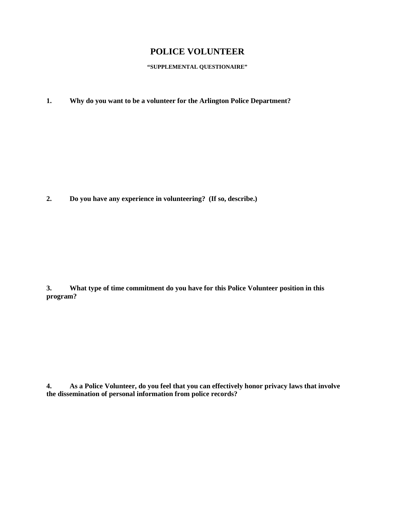# **POLICE VOLUNTEER**

**"SUPPLEMENTAL QUESTIONAIRE"** 

**1. Why do you want to be a volunteer for the Arlington Police Department?**

**2. Do you have any experience in volunteering? (If so, describe.)**

**3. What type of time commitment do you have for this Police Volunteer position in this program?**

**4. As a Police Volunteer, do you feel that you can effectively honor privacy laws that involve the dissemination of personal information from police records?**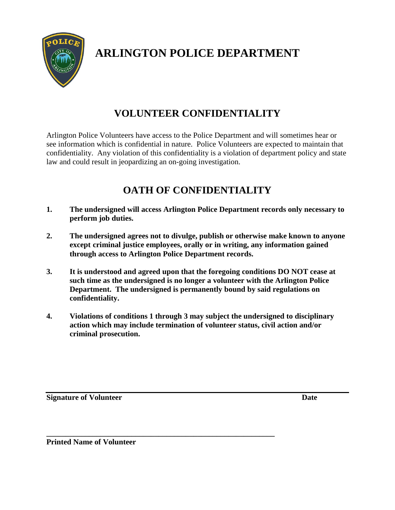

# **ARLINGTON POLICE DEPARTMENT**

# **VOLUNTEER CONFIDENTIALITY**

Arlington Police Volunteers have access to the Police Department and will sometimes hear or see information which is confidential in nature. Police Volunteers are expected to maintain that confidentiality. Any violation of this confidentiality is a violation of department policy and state law and could result in jeopardizing an on-going investigation.

# **OATH OF CONFIDENTIALITY**

- **1. The undersigned will access Arlington Police Department records only necessary to perform job duties.**
- **2. The undersigned agrees not to divulge, publish or otherwise make known to anyone except criminal justice employees, orally or in writing, any information gained through access to Arlington Police Department records.**
- **3. It is understood and agreed upon that the foregoing conditions DO NOT cease at such time as the undersigned is no longer a volunteer with the Arlington Police Department. The undersigned is permanently bound by said regulations on confidentiality.**
- **4. Violations of conditions 1 through 3 may subject the undersigned to disciplinary action which may include termination of volunteer status, civil action and/or criminal prosecution.**

**\_\_\_\_\_\_\_\_\_\_\_\_\_\_\_\_\_\_\_\_\_\_\_\_\_\_\_\_\_\_\_\_\_\_\_\_\_\_\_\_\_\_\_\_\_\_\_\_\_\_\_\_\_\_\_\_\_\_\_**

**Signature of Volunteer Date** 

**Printed Name of Volunteer**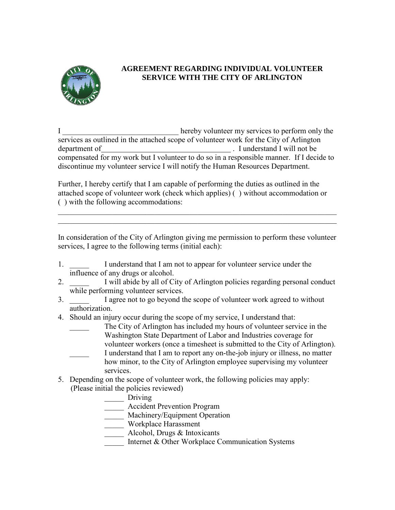

## **AGREEMENT REGARDING INDIVIDUAL VOLUNTEER SERVICE WITH THE CITY OF ARLINGTON**

I \_\_\_\_\_\_\_\_\_\_\_\_\_\_\_\_\_\_\_\_\_\_\_\_\_\_\_\_\_\_ hereby volunteer my services to perform only the services as outlined in the attached scope of volunteer work for the City of Arlington department of  $\qquad \qquad$  . I understand I will not be compensated for my work but I volunteer to do so in a responsible manner. If I decide to discontinue my volunteer service I will notify the Human Resources Department.

Further, I hereby certify that I am capable of performing the duties as outlined in the attached scope of volunteer work (check which applies) ( ) without accommodation or ( ) with the following accommodations:

In consideration of the City of Arlington giving me permission to perform these volunteer services, I agree to the following terms (initial each):

\_\_\_\_\_\_\_\_\_\_\_\_\_\_\_\_\_\_\_\_\_\_\_\_\_\_\_\_\_\_\_\_\_\_\_\_\_\_\_\_\_\_\_\_\_\_\_\_\_\_\_\_\_\_\_\_\_\_\_\_\_\_\_\_\_\_\_\_\_\_\_\_ \_\_\_\_\_\_\_\_\_\_\_\_\_\_\_\_\_\_\_\_\_\_\_\_\_\_\_\_\_\_\_\_\_\_\_\_\_\_\_\_\_\_\_\_\_\_\_\_\_\_\_\_\_\_\_\_\_\_\_\_\_\_\_\_\_\_\_\_\_\_\_\_

- 1. I understand that I am not to appear for volunteer service under the influence of any drugs or alcohol.
- 2. \_\_\_\_\_ I will abide by all of City of Arlington policies regarding personal conduct while performing volunteer services.
- 3. I agree not to go beyond the scope of volunteer work agreed to without authorization.
- 4. Should an injury occur during the scope of my service, I understand that:
	- The City of Arlington has included my hours of volunteer service in the Washington State Department of Labor and Industries coverage for volunteer workers (once a timesheet is submitted to the City of Arlington). I understand that I am to report any on-the-job injury or illness, no matter how minor, to the City of Arlington employee supervising my volunteer
	- services.
- 5. Depending on the scope of volunteer work, the following policies may apply: (Please initial the policies reviewed)
	- \_\_\_\_\_ Driving
	- \_\_\_\_\_ Accident Prevention Program
	- **Machinery/Equipment Operation**
	- Workplace Harassment
	- Alcohol, Drugs & Intoxicants
	- Internet & Other Workplace Communication Systems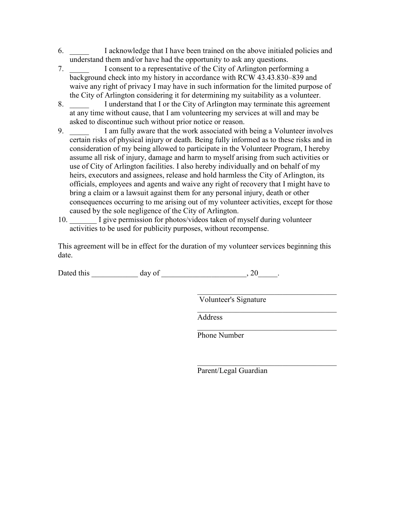- 6. \_\_\_\_\_ I acknowledge that I have been trained on the above initialed policies and understand them and/or have had the opportunity to ask any questions.
- 7. \_\_\_\_\_ I consent to a representative of the City of Arlington performing a background check into my history in accordance with RCW 43.43.830–839 and waive any right of privacy I may have in such information for the limited purpose of the City of Arlington considering it for determining my suitability as a volunteer.
- 8. I understand that I or the City of Arlington may terminate this agreement at any time without cause, that I am volunteering my services at will and may be asked to discontinue such without prior notice or reason.
- 9. \_\_\_\_\_ I am fully aware that the work associated with being a Volunteer involves certain risks of physical injury or death. Being fully informed as to these risks and in consideration of my being allowed to participate in the Volunteer Program, I hereby assume all risk of injury, damage and harm to myself arising from such activities or use of City of Arlington facilities. I also hereby individually and on behalf of my heirs, executors and assignees, release and hold harmless the City of Arlington, its officials, employees and agents and waive any right of recovery that I might have to bring a claim or a lawsuit against them for any personal injury, death or other consequences occurring to me arising out of my volunteer activities, except for those caused by the sole negligence of the City of Arlington.
- 10. \_\_\_\_\_\_\_ I give permission for photos/videos taken of myself during volunteer activities to be used for publicity purposes, without recompense.

This agreement will be in effect for the duration of my volunteer services beginning this date.

 $\frac{1}{\sqrt{2}}$  ,  $\frac{1}{\sqrt{2}}$  ,  $\frac{1}{\sqrt{2}}$  ,  $\frac{1}{\sqrt{2}}$  ,  $\frac{1}{\sqrt{2}}$  ,  $\frac{1}{\sqrt{2}}$  ,  $\frac{1}{\sqrt{2}}$  ,  $\frac{1}{\sqrt{2}}$  ,  $\frac{1}{\sqrt{2}}$  ,  $\frac{1}{\sqrt{2}}$  ,  $\frac{1}{\sqrt{2}}$  ,  $\frac{1}{\sqrt{2}}$  ,  $\frac{1}{\sqrt{2}}$  ,  $\frac{1}{\sqrt{2}}$  ,  $\frac{1}{\sqrt{2}}$ 

Dated this  $\frac{day \text{ of } (x,y) \text{ of } (x,y) \text{ of } (x,y) \text{ of } (x,y) \text{ of } (x,y) \text{ of } (x,y) \text{ of } (x,y) \text{ of } (x,y)$ 

Volunteer's Signature

 $\_$  . The contribution of the contribution of  $\mathcal{L}_\mathcal{L}$ Address

 $\_$  . The contribution of the contribution of  $\mathcal{L}_\mathcal{L}$ Phone Number

 $\frac{1}{\sqrt{2}}$  ,  $\frac{1}{\sqrt{2}}$  ,  $\frac{1}{\sqrt{2}}$  ,  $\frac{1}{\sqrt{2}}$  ,  $\frac{1}{\sqrt{2}}$  ,  $\frac{1}{\sqrt{2}}$  ,  $\frac{1}{\sqrt{2}}$  ,  $\frac{1}{\sqrt{2}}$  ,  $\frac{1}{\sqrt{2}}$  ,  $\frac{1}{\sqrt{2}}$  ,  $\frac{1}{\sqrt{2}}$  ,  $\frac{1}{\sqrt{2}}$  ,  $\frac{1}{\sqrt{2}}$  ,  $\frac{1}{\sqrt{2}}$  ,  $\frac{1}{\sqrt{2}}$ Parent/Legal Guardian